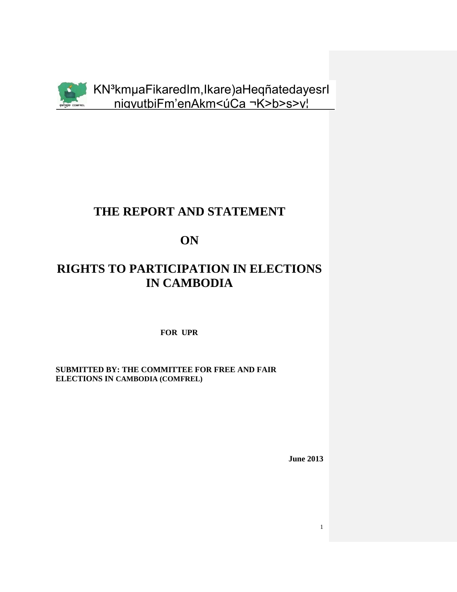

KN<sup>3</sup>kmuaFikaredIm, Ikare) aHeqñatedayesrl niavutbiFm'enAkm<úCa ¬K>b>s>v!

## THE REPORT AND STATEMENT

ON

# **RIGHTS TO PARTICIPATION IN ELECTIONS IN CAMBODIA**

FOR UPR

**SUBMITTED BY: THE COMMITTEE FOR FREE AND FAIR** ELECTIONS IN CAMBODIA (COMFREL)

**June 2013** 

 $\mathbf{1}$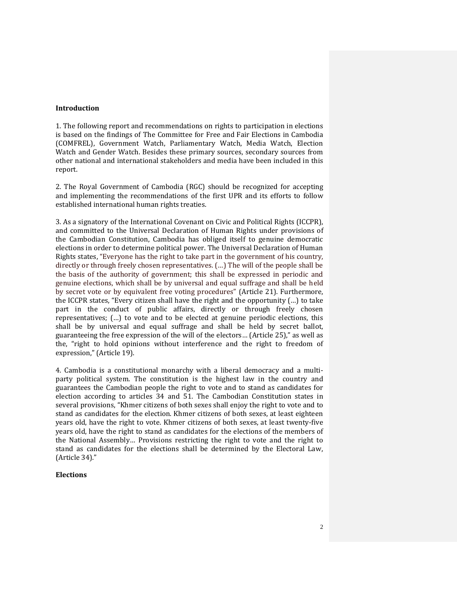#### **Introduction**

1. The following report and recommendations on rights to participation in elections is based on the findings of The Committee for Free and Fair Elections in Cambodia (COMFREL), Government Watch, Parliamentary Watch, Media Watch, Election Watch and Gender Watch. Besides these primary sources, secondary sources from other national and international stakeholders and media have been included in this report.

2. The Royal Government of Cambodia (RGC) should be recognized for accepting and implementing the recommendations of the first UPR and its efforts to follow established international human rights treaties.

3. As a signatory of the International Covenant on Civic and Political Rights (ICCPR), and committed to the Universal Declaration of Human Rights under provisions of the Cambodian Constitution, Cambodia has obliged itself to genuine democratic elections in order to determine political power. The Universal Declaration of Human Rights states, "Everyone has the right to take part in the government of his country, directly or through freely chosen representatives. (…) The will of the people shall be the basis of the authority of government; this shall be expressed in periodic and genuine elections, which shall be by universal and equal suffrage and shall be held by secret vote or by equivalent free voting procedures" (Article 21). Furthermore, the ICCPR states, "Every citizen shall have the right and the opportunity (…) to take part in the conduct of public affairs, directly or through freely chosen representatives; (…) to vote and to be elected at genuine periodic elections, this shall be by universal and equal suffrage and shall be held by secret ballot, guaranteeing the free expression of the will of the electors… (Article 25)," as well as the, "right to hold opinions without interference and the right to freedom of expression," (Article 19).

4. Cambodia is a constitutional monarchy with a liberal democracy and a multiparty political system. The constitution is the highest law in the country and guarantees the Cambodian people the right to vote and to stand as candidates for election according to articles 34 and 51. The Cambodian Constitution states in several provisions, "Khmer citizens of both sexes shall enjoy the right to vote and to stand as candidates for the election. Khmer citizens of both sexes, at least eighteen years old, have the right to vote. Khmer citizens of both sexes, at least twenty-five years old, have the right to stand as candidates for the elections of the members of the National Assembly… Provisions restricting the right to vote and the right to stand as candidates for the elections shall be determined by the Electoral Law, (Article 34)."

#### **Elections**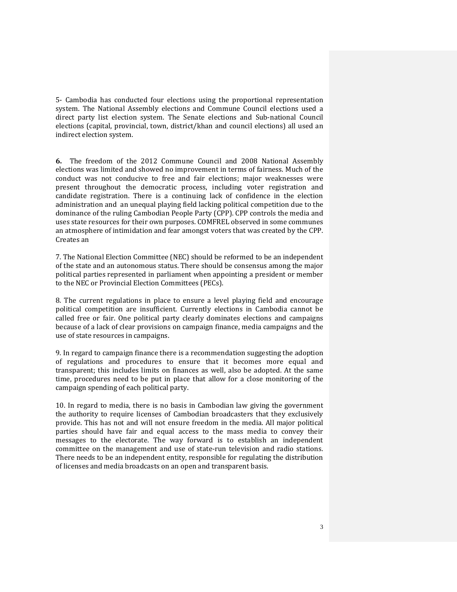5- Cambodia has conducted four elections using the proportional representation system. The National Assembly elections and Commune Council elections used a direct party list election system. The Senate elections and Sub-national Council elections (capital, provincial, town, district/khan and council elections) all used an indirect election system.

**6.** The freedom of the 2012 Commune Council and 2008 National Assembly elections was limited and showed no improvement in terms of fairness. Much of the conduct was not conducive to free and fair elections; major weaknesses were present throughout the democratic process, including voter registration and candidate registration. There is a continuing lack of confidence in the election administration and an unequal playing field lacking political competition due to the dominance of the ruling Cambodian People Party (CPP). CPP controls the media and uses state resources for their own purposes. COMFREL observed in some communes an atmosphere of intimidation and fear amongst voters that was created by the CPP. Creates an

7. The National Election Committee (NEC) should be reformed to be an independent of the state and an autonomous status. There should be consensus among the major political parties represented in parliament when appointing a president or member to the NEC or Provincial Election Committees (PECs).

8. The current regulations in place to ensure a level playing field and encourage political competition are insufficient. Currently elections in Cambodia cannot be called free or fair. One political party clearly dominates elections and campaigns because of a lack of clear provisions on campaign finance, media campaigns and the use of state resources in campaigns.

9. In regard to campaign finance there is a recommendation suggesting the adoption of regulations and procedures to ensure that it becomes more equal and transparent; this includes limits on finances as well, also be adopted. At the same time, procedures need to be put in place that allow for a close monitoring of the campaign spending of each political party.

10. In regard to media, there is no basis in Cambodian law giving the government the authority to require licenses of Cambodian broadcasters that they exclusively provide. This has not and will not ensure freedom in the media. All major political parties should have fair and equal access to the mass media to convey their messages to the electorate. The way forward is to establish an independent committee on the management and use of state-run television and radio stations. There needs to be an independent entity, responsible for regulating the distribution of licenses and media broadcasts on an open and transparent basis.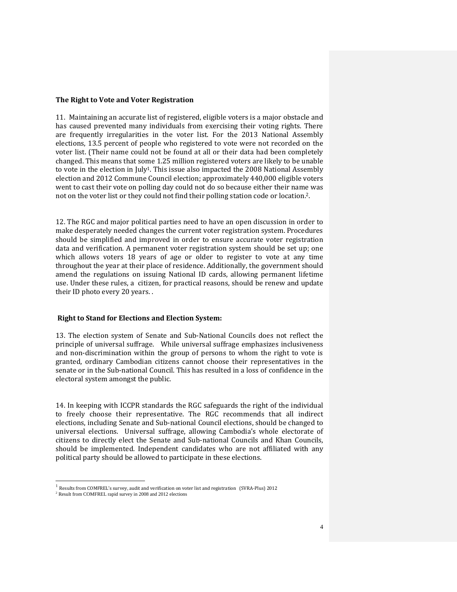#### **The Right to Vote and Voter Registration**

11. Maintaining an accurate list of registered, eligible voters is a major obstacle and has caused prevented many individuals from exercising their voting rights. There are frequently irregularities in the voter list. For the 2013 National Assembly elections, 13.5 percent of people who registered to vote were not recorded on the voter list. (Their name could not be found at all or their data had been completely changed. This means that some 1.25 million registered voters are likely to be unable to vote in the election in  $\lceil \text{uly}^1 \rceil$ . This issue also impacted the 2008 National Assembly election and 2012 Commune Council election; approximately 440,000 eligible voters went to cast their vote on polling day could not do so because either their name was not on the voter list or they could not find their polling station code or location.2.

12. The RGC and major political parties need to have an open discussion in order to make desperately needed changes the current voter registration system. Procedures should be simplified and improved in order to ensure accurate voter registration data and verification. A permanent voter registration system should be set up; one which allows voters 18 years of age or older to register to vote at any time throughout the year at their place of residence. Additionally, the government should amend the regulations on issuing National ID cards, allowing permanent lifetime use. Under these rules, a citizen, for practical reasons, should be renew and update their ID photo every 20 years. .

#### **Right to Stand for Elections and Election System:**

13. The election system of Senate and Sub-National Councils does not reflect the principle of universal suffrage. While universal suffrage emphasizes inclusiveness and non-discrimination within the group of persons to whom the right to vote is granted, ordinary Cambodian citizens cannot choose their representatives in the senate or in the Sub-national Council. This has resulted in a loss of confidence in the electoral system amongst the public.

14. In keeping with ICCPR standards the RGC safeguards the right of the individual to freely choose their representative. The RGC recommends that all indirect elections, including Senate and Sub-national Council elections, should be changed to universal elections. Universal suffrage, allowing Cambodia's whole electorate of citizens to directly elect the Senate and Sub-national Councils and Khan Councils, should be implemented. Independent candidates who are not affiliated with any political party should be allowed to participate in these elections.

 $\overline{a}$ 

<sup>&</sup>lt;sup>1</sup> Results from COMFREL's survey, audit and verification on voter list and registration (SVRA-Plus) 2012

<sup>2</sup> Result from COMFREL rapid survey in 2008 and 2012 elections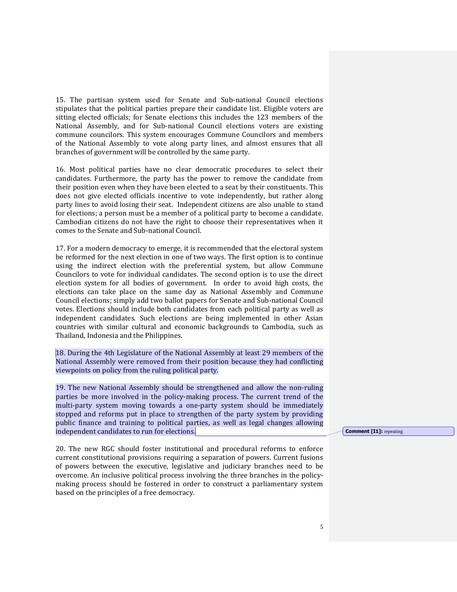15. The partisan system used for Senate and Sub-national Council elections stipulates that the political parties prepare their candidate list. Eligible voters are sitting elected officials; for Senate elections this includes the 123 members of the National Assembly, and for Sub-national Council elections voters are existing commune councilors. This system encourages Commune Councilors and members of the National Assembly to vote along party lines, and almost ensures that all branches of government will be controlled by the same party.

16. Most political parties have no clear democratic procedures to select their candidates. Furthermore, the party has the power to remove the candidate from their position even when they have been elected to a seat by their constituents. This does not give elected officials incentive to vote independently, but rather along party lines to avoid losing their seat. Independent citizens are also unable to stand for elections; a person must be a member of a political party to become a candidate. Cambodian citizens do not have the right to choose their representatives when it comes to the Senate and Sub-national Council.

17. For a modern democracy to emerge, it is recommended that the electoral system be reformed for the next election in one of two ways. The first option is to continue using the indirect election with the preferential system, but allow Commune Councilors to vote for individual candidates. The second option is to use the direct election system for all bodies of government. In order to avoid high costs, the elections can take place on the same day as National Assembly and Commune Council elections; simply add two ballot papers for Senate and Sub-national Council votes. Elections should include both candidates from each political party as well as independent candidates. Such elections are being implemented in other Asian countries with similar cultural and economic backgrounds to Cambodia, such as Thailand, Indonesia and the Philippines.

18. During the 4th Legislature of the National Assembly at least 29 members of the National Assembly were removed from their position because they had conflicting viewpoints on policy from the ruling political party.

19. The new National Assembly should be strengthened and allow the non-ruling parties be more involved in the policy-making process. The current trend of the multi-party system moving towards a one-party system should be immediately stopped and reforms put in place to strengthen of the party system by providing public finance and training to political parties, as well as legal changes allowing independent candidates to run for elections.

20. The new RGC should foster institutional and procedural reforms to enforce current constitutional provisions requiring a separation of powers. Current fusions of powers between the executive, legislative and judiciary branches need to be overcome. An inclusive political process involving the three branches in the policymaking process should be fostered in order to construct a parliamentary system based on the principles of a free democracy.

**Comment [I1]:** repeating